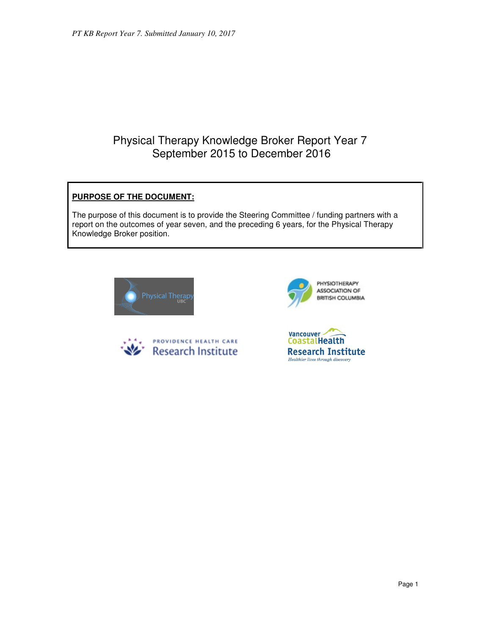# Physical Therapy Knowledge Broker Report Year 7 September 2015 to December 2016

# **PURPOSE OF THE DOCUMENT:**

The purpose of this document is to provide the Steering Committee / funding partners with a report on the outcomes of year seven, and the preceding 6 years, for the Physical Therapy Knowledge Broker position.







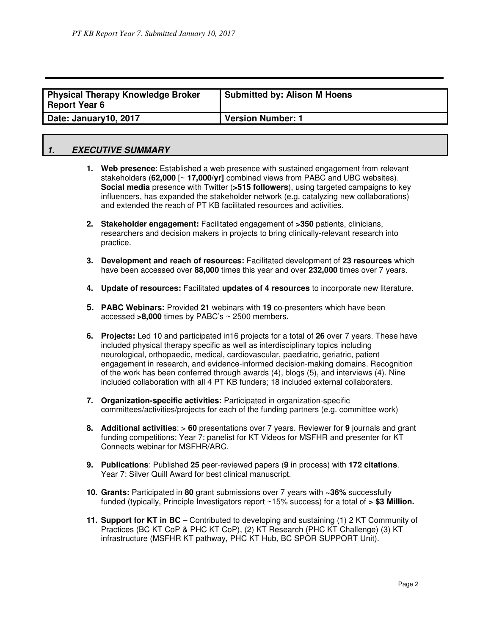| Physical Therapy Knowledge Broker<br><b>Report Year 6</b> | <b>Submitted by: Alison M Hoens</b> |
|-----------------------------------------------------------|-------------------------------------|
| Date: January10, 2017                                     | <b>Version Number: 1</b>            |

# **1. EXECUTIVE SUMMARY**

- **1. Web presence**: Established a web presence with sustained engagement from relevant stakeholders (**62,000** [~ **17,000/yr]** combined views from PABC and UBC websites). **Social media** presence with Twitter (**>515 followers**), using targeted campaigns to key influencers, has expanded the stakeholder network (e.g. catalyzing new collaborations) and extended the reach of PT KB facilitated resources and activities.
- **2. Stakeholder engagement:** Facilitated engagement of **>350** patients, clinicians, researchers and decision makers in projects to bring clinically-relevant research into practice.
- **3. Development and reach of resources:** Facilitated development of **23 resources** which have been accessed over **88,000** times this year and over **232,000** times over 7 years.
- **4. Update of resources:** Facilitated **updates of 4 resources** to incorporate new literature.
- **5. PABC Webinars:** Provided **21** webinars with **19** co-presenters which have been accessed **>8,000** times by PABC's ~ 2500 members.
- **6. Projects:** Led 10 and participated in16 projects for a total of **26** over 7 years. These have included physical therapy specific as well as interdisciplinary topics including neurological, orthopaedic, medical, cardiovascular, paediatric, geriatric, patient engagement in research, and evidence-informed decision-making domains. Recognition of the work has been conferred through awards (4), blogs (5), and interviews (4). Nine included collaboration with all 4 PT KB funders; 18 included external collaboraters.
- **7. Organization-specific activities:** Participated in organization-specific committees/activities/projects for each of the funding partners (e.g. committee work)
- **8. Additional activities**: > **60** presentations over 7 years. Reviewer for **9** journals and grant funding competitions; Year 7: panelist for KT Videos for MSFHR and presenter for KT Connects webinar for MSFHR/ARC.
- **9. Publications**: Published **25** peer-reviewed papers (**9** in process) with **172 citations**. Year 7: Silver Quill Award for best clinical manuscript.
- **10. Grants:** Participated in **80** grant submissions over 7 years with **~36%** successfully funded (typically, Principle Investigators report ~15% success) for a total of **> \$3 Million.**
- **11. Support for KT in BC** Contributed to developing and sustaining (1) 2 KT Community of Practices (BC KT CoP & PHC KT CoP), (2) KT Research (PHC KT Challenge) (3) KT infrastructure (MSFHR KT pathway, PHC KT Hub, BC SPOR SUPPORT Unit).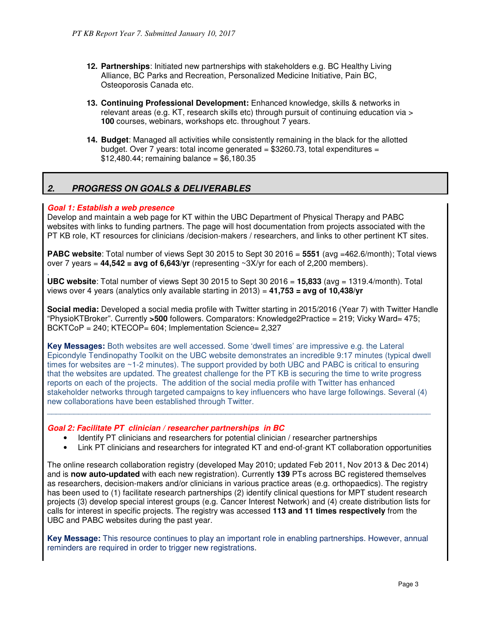- **12. Partnerships**: Initiated new partnerships with stakeholders e.g. BC Healthy Living Alliance, BC Parks and Recreation, Personalized Medicine Initiative, Pain BC, Osteoporosis Canada etc.
- **13. Continuing Professional Development:** Enhanced knowledge, skills & networks in relevant areas (e.g. KT, research skills etc) through pursuit of continuing education via > **100** courses, webinars, workshops etc. throughout 7 years.
- **14. Budget**: Managed all activities while consistently remaining in the black for the allotted budget. Over 7 years: total income generated =  $$3260.73$ , total expenditures =  $$12,480.44$ ; remaining balance = \$6,180.35

# **2. PROGRESS ON GOALS & DELIVERABLES**

## **Goal 1: Establish a web presence**

Develop and maintain a web page for KT within the UBC Department of Physical Therapy and PABC websites with links to funding partners. The page will host documentation from projects associated with the PT KB role, KT resources for clinicians /decision-makers / researchers, and links to other pertinent KT sites.

**PABC website**: Total number of views Sept 30 2015 to Sept 30 2016 = 5551 (avg =462.6/month); Total views over 7 years  $= 44,542 = avg$  of 6,643/yr (representing  $\sim 3X/yr$  for each of 2,200 members).

. **UBC website**: Total number of views Sept 30 2015 to Sept 30 2016 = **15,833** (avg = 1319.4/month). Total views over 4 years (analytics only available starting in 2013) = **41,753 = avg of 10,438/yr** 

**Social media:** Developed a social media profile with Twitter starting in 2015/2016 (Year 7) with Twitter Handle "PhysioKTBroker". Currently **>500** followers. Comparators: Knowledge2Practice = 219; Vicky Ward= 475; BCKTCoP = 240; KTECOP= 604; Implementation Science= 2,327

**Key Messages:** Both websites are well accessed. Some 'dwell times' are impressive e.g. the Lateral Epicondyle Tendinopathy Toolkit on the UBC website demonstrates an incredible 9:17 minutes (typical dwell times for websites are ~1-2 minutes). The support provided by both UBC and PABC is critical to ensuring that the websites are updated. The greatest challenge for the PT KB is securing the time to write progress reports on each of the projects. The addition of the social media profile with Twitter has enhanced stakeholder networks through targeted campaigns to key influencers who have large followings. Several (4) new collaborations have been established through Twitter.

 $\_$  ,  $\_$  ,  $\_$  ,  $\_$  ,  $\_$  ,  $\_$  ,  $\_$  ,  $\_$  ,  $\_$  ,  $\_$  ,  $\_$  ,  $\_$  ,  $\_$  ,  $\_$  ,  $\_$  ,  $\_$  ,  $\_$  ,  $\_$  ,  $\_$  ,  $\_$  ,  $\_$  ,  $\_$  ,  $\_$  ,  $\_$  ,  $\_$  ,  $\_$  ,  $\_$  ,  $\_$  ,  $\_$  ,  $\_$  ,  $\_$  ,  $\_$  ,  $\_$  ,  $\_$  ,  $\_$  ,  $\_$  ,  $\_$  ,

## **Goal 2: Facilitate PT clinician / researcher partnerships in BC**

- Identify PT clinicians and researchers for potential clinician / researcher partnerships
- Link PT clinicians and researchers for integrated KT and end-of-grant KT collaboration opportunities

The online research collaboration registry (developed May 2010; updated Feb 2011, Nov 2013 & Dec 2014) and is **now auto-updated** with each new registration). Currently **139** PTs across BC registered themselves as researchers, decision-makers and/or clinicians in various practice areas (e.g. orthopaedics). The registry has been used to (1) facilitate research partnerships (2) identify clinical questions for MPT student research projects (3) develop special interest groups (e.g. Cancer Interest Network) and (4) create distribution lists for calls for interest in specific projects. The registry was accessed **113 and 11 times respectively** from the UBC and PABC websites during the past year.

**Key Message:** This resource continues to play an important role in enabling partnerships. However, annual reminders are required in order to trigger new registrations.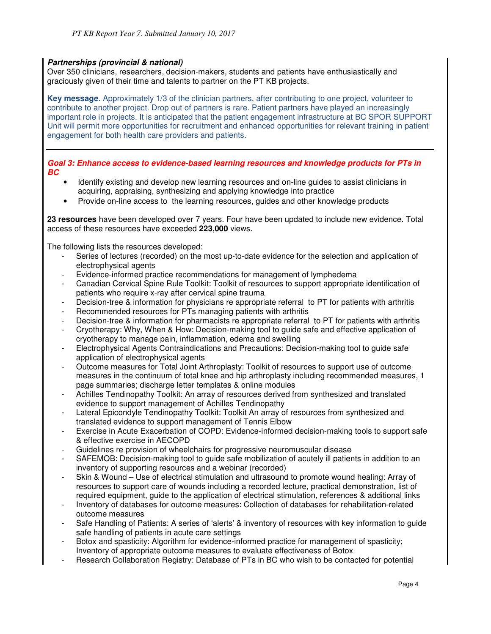## **Partnerships (provincial & national)**

Over 350 clinicians, researchers, decision-makers, students and patients have enthusiastically and graciously given of their time and talents to partner on the PT KB projects.

**Key message**. Approximately 1/3 of the clinician partners, after contributing to one project, volunteer to contribute to another project. Drop out of partners is rare. Patient partners have played an increasingly important role in projects. It is anticipated that the patient engagement infrastructure at BC SPOR SUPPORT Unit will permit more opportunities for recruitment and enhanced opportunities for relevant training in patient engagement for both health care providers and patients.

**Goal 3: Enhance access to evidence-based learning resources and knowledge products for PTs in BC** 

- Identify existing and develop new learning resources and on-line guides to assist clinicians in acquiring, appraising, synthesizing and applying knowledge into practice
- Provide on-line access to the learning resources, guides and other knowledge products

**23 resources** have been developed over 7 years. Four have been updated to include new evidence. Total access of these resources have exceeded **223,000** views.

The following lists the resources developed:

- Series of lectures (recorded) on the most up-to-date evidence for the selection and application of electrophysical agents
- Evidence-informed practice recommendations for management of lymphedema
- Canadian Cervical Spine Rule Toolkit: Toolkit of resources to support appropriate identification of patients who require x-ray after cervical spine trauma
- Decision-tree & information for physicians re appropriate referral to PT for patients with arthritis
- Recommended resources for PTs managing patients with arthritis
- Decision-tree & information for pharmacists re appropriate referral to PT for patients with arthritis
- Cryotherapy: Why, When & How: Decision-making tool to guide safe and effective application of cryotherapy to manage pain, inflammation, edema and swelling
- Electrophysical Agents Contraindications and Precautions: Decision-making tool to guide safe application of electrophysical agents
- Outcome measures for Total Joint Arthroplasty: Toolkit of resources to support use of outcome measures in the continuum of total knee and hip arthroplasty including recommended measures, 1 page summaries; discharge letter templates & online modules
- Achilles Tendinopathy Toolkit: An array of resources derived from synthesized and translated evidence to support management of Achilles Tendinopathy
- Lateral Epicondyle Tendinopathy Toolkit: Toolkit An array of resources from synthesized and translated evidence to support management of Tennis Elbow
- Exercise in Acute Exacerbation of COPD: Evidence-informed decision-making tools to support safe & effective exercise in AECOPD
- Guidelines re provision of wheelchairs for progressive neuromuscular disease
- SAFEMOB: Decision-making tool to guide safe mobilization of acutely ill patients in addition to an inventory of supporting resources and a webinar (recorded)
- Skin & Wound Use of electrical stimulation and ultrasound to promote wound healing: Array of resources to support care of wounds including a recorded lecture, practical demonstration, list of required equipment, guide to the application of electrical stimulation, references & additional links
- Inventory of databases for outcome measures: Collection of databases for rehabilitation-related outcome measures
- Safe Handling of Patients: A series of 'alerts' & inventory of resources with key information to guide safe handling of patients in acute care settings
- Botox and spasticity: Algorithm for evidence-informed practice for management of spasticity; Inventory of appropriate outcome measures to evaluate effectiveness of Botox
- Research Collaboration Registry: Database of PTs in BC who wish to be contacted for potential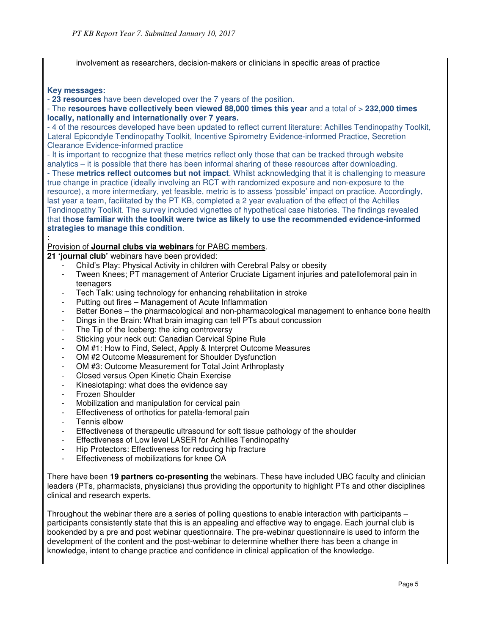involvement as researchers, decision-makers or clinicians in specific areas of practice

#### **Key messages:**

:

- **23 resources** have been developed over the 7 years of the position.

#### - The **resources have collectively been viewed 88,000 times this year** and a total of > **232,000 times locally, nationally and internationally over 7 years.**

- 4 of the resources developed have been updated to reflect current literature: Achilles Tendinopathy Toolkit, Lateral Epicondyle Tendinopathy Toolkit, Incentive Spirometry Evidence-informed Practice, Secretion Clearance Evidence-informed practice

- It is important to recognize that these metrics reflect only those that can be tracked through website analytics – it is possible that there has been informal sharing of these resources after downloading.

- These **metrics reflect outcomes but not impact**. Whilst acknowledging that it is challenging to measure true change in practice (ideally involving an RCT with randomized exposure and non-exposure to the resource), a more intermediary, yet feasible, metric is to assess 'possible' impact on practice. Accordingly, last year a team, facilitated by the PT KB, completed a 2 year evaluation of the effect of the Achilles Tendinopathy Toolkit. The survey included vignettes of hypothetical case histories. The findings revealed that **those familiar with the toolkit were twice as likely to use the recommended evidence-informed strategies to manage this condition**.

## Provision of **Journal clubs via webinars** for PABC members.

- **21 'journal club'** webinars have been provided:
	- Child's Play: Physical Activity in children with Cerebral Palsy or obesity
	- Tween Knees; PT management of Anterior Cruciate Ligament injuries and patellofemoral pain in teenagers
	- Tech Talk: using technology for enhancing rehabilitation in stroke
	- Putting out fires Management of Acute Inflammation
	- Better Bones the pharmacological and non-pharmacological management to enhance bone health
	- Dings in the Brain: What brain imaging can tell PTs about concussion
	- The Tip of the Iceberg: the icing controversy
	- Sticking your neck out: Canadian Cervical Spine Rule
	- OM #1: How to Find, Select, Apply & Interpret Outcome Measures
	- OM #2 Outcome Measurement for Shoulder Dysfunction
	- OM #3: Outcome Measurement for Total Joint Arthroplasty
	- Closed versus Open Kinetic Chain Exercise
	- Kinesiotaping: what does the evidence say
	- Frozen Shoulder
	- Mobilization and manipulation for cervical pain
	- Effectiveness of orthotics for patella-femoral pain
	- Tennis elbow
	- Effectiveness of therapeutic ultrasound for soft tissue pathology of the shoulder
	- Effectiveness of Low level LASER for Achilles Tendinopathy
	- Hip Protectors: Effectiveness for reducing hip fracture
	- Effectiveness of mobilizations for knee OA

There have been **19 partners co-presenting** the webinars. These have included UBC faculty and clinician leaders (PTs, pharmacists, physicians) thus providing the opportunity to highlight PTs and other disciplines clinical and research experts.

Throughout the webinar there are a series of polling questions to enable interaction with participants – participants consistently state that this is an appealing and effective way to engage. Each journal club is bookended by a pre and post webinar questionnaire. The pre-webinar questionnaire is used to inform the development of the content and the post-webinar to determine whether there has been a change in knowledge, intent to change practice and confidence in clinical application of the knowledge.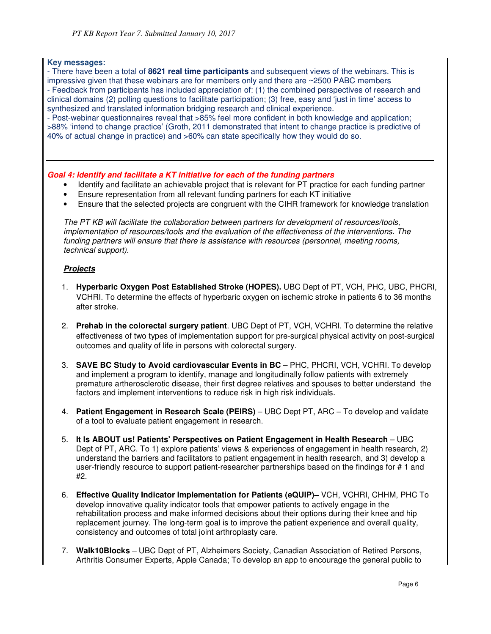## **Key messages:**

- There have been a total of **8621 real time participants** and subsequent views of the webinars. This is impressive given that these webinars are for members only and there are ~2500 PABC members - Feedback from participants has included appreciation of: (1) the combined perspectives of research and clinical domains (2) polling questions to facilitate participation; (3) free, easy and 'just in time' access to synthesized and translated information bridging research and clinical experience.

- Post-webinar questionnaires reveal that >85% feel more confident in both knowledge and application; >88% 'intend to change practice' (Groth, 2011 demonstrated that intent to change practice is predictive of 40% of actual change in practice) and >60% can state specifically how they would do so.

## **Goal 4: Identify and facilitate a KT initiative for each of the funding partners**

- Identify and facilitate an achievable project that is relevant for PT practice for each funding partner
- Ensure representation from all relevant funding partners for each KT initiative
- Ensure that the selected projects are congruent with the CIHR framework for knowledge translation

The PT KB will facilitate the collaboration between partners for development of resources/tools, implementation of resources/tools and the evaluation of the effectiveness of the interventions. The funding partners will ensure that there is assistance with resources (personnel, meeting rooms, technical support).

## **Projects**

- 1. **Hyperbaric Oxygen Post Established Stroke (HOPES).** UBC Dept of PT, VCH, PHC, UBC, PHCRI, VCHRI. To determine the effects of hyperbaric oxygen on ischemic stroke in patients 6 to 36 months after stroke.
- 2. **Prehab in the colorectal surgery patient**. UBC Dept of PT, VCH, VCHRI. To determine the relative effectiveness of two types of implementation support for pre-surgical physical activity on post-surgical outcomes and quality of life in persons with colorectal surgery.
- 3. **SAVE BC Study to Avoid cardiovascular Events in BC** PHC, PHCRI, VCH, VCHRI. To develop and implement a program to identify, manage and longitudinally follow patients with extremely premature artherosclerotic disease, their first degree relatives and spouses to better understand the factors and implement interventions to reduce risk in high risk individuals.
- 4. **Patient Engagement in Research Scale (PEIRS)** UBC Dept PT, ARC To develop and validate of a tool to evaluate patient engagement in research.
- 5. **It Is ABOUT us! Patients' Perspectives on Patient Engagement in Health Research** UBC Dept of PT, ARC. To 1) explore patients' views & experiences of engagement in health research, 2) understand the barriers and facilitators to patient engagement in health research, and 3) develop a user-friendly resource to support patient-researcher partnerships based on the findings for # 1 and #2.
- 6. **Effective Quality Indicator Implementation for Patients (eQUIP)–** VCH, VCHRI, CHHM, PHC To develop innovative quality indicator tools that empower patients to actively engage in the rehabilitation process and make informed decisions about their options during their knee and hip replacement journey. The long-term goal is to improve the patient experience and overall quality, consistency and outcomes of total joint arthroplasty care.
- 7. **Walk10Blocks** UBC Dept of PT, Alzheimers Society, Canadian Association of Retired Persons, Arthritis Consumer Experts, Apple Canada; To develop an app to encourage the general public to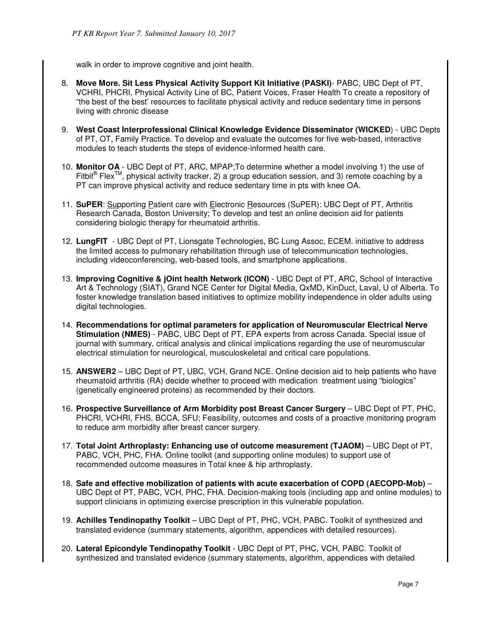walk in order to improve cognitive and joint health.

- 8. **Move More. Sit Less Physical Activity Support Kit Initiative (PASKI)** PABC, UBC Dept of PT, VCHRI, PHCRI, Physical Activity Line of BC, Patient Voices, Fraser Health To create a repository of "the best of the best' resources to facilitate physical activity and reduce sedentary time in persons living with chronic disease
- 9. **West Coast Interprofessional Clinical Knowledge Evidence Disseminator (WICKED**) UBC Depts of PT, OT, Family Practice. To develop and evaluate the outcomes for five web-based, interactive modules to teach students the steps of evidence-informed health care.
- 10. **Monitor OA**  UBC Dept of PT, ARC, MPAP;To determine whether a model involving 1) the use of Fitbit<sup>®</sup> Flex<sup>TM</sup>, physical activity tracker, 2) a group education session, and 3) remote coaching by a PT can improve physical activity and reduce sedentary time in pts with knee OA.
- 11. **SuPER**: Supporting Patient care with Electronic Resources (SuPER): UBC Dept of PT, Arthritis Research Canada, Boston University; To develop and test an online decision aid for patients considering biologic therapy for rheumatoid arthritis.
- 12. **LungFIT** UBC Dept of PT, Lionsgate Technologies, BC Lung Assoc, ECEM. initiative to address the limited access to pulmonary rehabilitation through use of telecommunication technologies, including videoconferencing, web-based tools, and smartphone applications.
- 13. **Improving Cognitive & jOint health Network (ICON)** UBC Dept of PT, ARC, School of Interactive Art & Technology (SIAT), Grand NCE Center for Digital Media, QxMD, KinDuct, Laval, U of Alberta. To foster knowledge translation based initiatives to optimize mobility independence in older adults using digital technologies.
- 14. **Recommendations for optimal parameters for application of Neuromuscular Electrical Nerve Stimulation (NMES)** - PABC, UBC Dept of PT, EPA experts from across Canada. Special issue of journal with summary, critical analysis and clinical implications regarding the use of neuromuscular electrical stimulation for neurological, musculoskeletal and critical care populations.
- 15. **ANSWER2** UBC Dept of PT, UBC, VCH, Grand NCE. Online decision aid to help patients who have rheumatoid arthritis (RA) decide whether to proceed with medication treatment using "biologics" (genetically engineered proteins) as recommended by their doctors.
- 16. **Prospective Surveillance of Arm Morbidity post Breast Cancer Surgery** UBC Dept of PT, PHC, PHCRI, VCHRI, FHS, BCCA, SFU; Feasibility, outcomes and costs of a proactive monitoring program to reduce arm morbidity after breast cancer surgery.
- 17. **Total Joint Arthroplasty: Enhancing use of outcome measurement (TJAOM)** UBC Dept of PT, PABC, VCH, PHC, FHA. Online toolkit (and supporting online modules) to support use of recommended outcome measures in Total knee & hip arthroplasty.
- 18. **Safe and effective mobilization of patients with acute exacerbation of COPD (AECOPD-Mob)** UBC Dept of PT, PABC, VCH, PHC, FHA. Decision-making tools (including app and online modules) to support clinicians in optimizing exercise prescription in this vulnerable population.
- 19. **Achilles Tendinopathy Toolkit** UBC Dept of PT, PHC, VCH, PABC. Toolkit of synthesized and translated evidence (summary statements, algorithm, appendices with detailed resources).
- 20. **Lateral Epicondyle Tendinopathy Toolkit** UBC Dept of PT, PHC, VCH, PABC. Toolkit of synthesized and translated evidence (summary statements, algorithm, appendices with detailed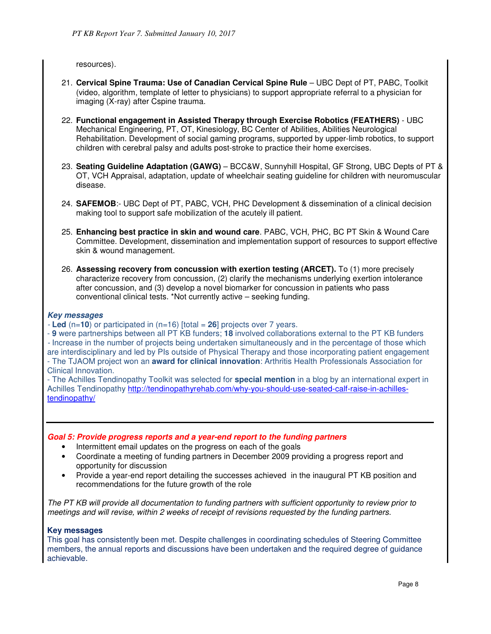resources).

- 21. **Cervical Spine Trauma: Use of Canadian Cervical Spine Rule** UBC Dept of PT, PABC, Toolkit (video, algorithm, template of letter to physicians) to support appropriate referral to a physician for imaging (X-ray) after Cspine trauma.
- 22. **Functional engagement in Assisted Therapy through Exercise Robotics (FEATHERS)** UBC Mechanical Engineering, PT, OT, Kinesiology, BC Center of Abilities, Abilities Neurological Rehabilitation. Development of social gaming programs, supported by upper-limb robotics, to support children with cerebral palsy and adults post-stroke to practice their home exercises.
- 23. **Seating Guideline Adaptation (GAWG)** BCC&W, Sunnyhill Hospital, GF Strong, UBC Depts of PT & OT, VCH Appraisal, adaptation, update of wheelchair seating guideline for children with neuromuscular disease.
- 24. **SAFEMOB**:- UBC Dept of PT, PABC, VCH, PHC Development & dissemination of a clinical decision making tool to support safe mobilization of the acutely ill patient.
- 25. **Enhancing best practice in skin and wound care**. PABC, VCH, PHC, BC PT Skin & Wound Care Committee. Development, dissemination and implementation support of resources to support effective skin & wound management.
- 26. **Assessing recovery from concussion with exertion testing (ARCET).** To (1) more precisely characterize recovery from concussion, (2) clarify the mechanisms underlying exertion intolerance after concussion, and (3) develop a novel biomarker for concussion in patients who pass conventional clinical tests. \*Not currently active – seeking funding.

## **Key messages**

- **Led** (n=**10**) or participated in (n=16) [total = **26**] projects over 7 years.

- **9** were partnerships between all PT KB funders; **18** involved collaborations external to the PT KB funders - Increase in the number of projects being undertaken simultaneously and in the percentage of those which are interdisciplinary and led by PIs outside of Physical Therapy and those incorporating patient engagement - The TJAOM project won an **award for clinical innovation**: Arthritis Health Professionals Association for Clinical Innovation.

- The Achilles Tendinopathy Toolkit was selected for **special mention** in a blog by an international expert in Achilles Tendinopathy http://tendinopathyrehab.com/why-you-should-use-seated-calf-raise-in-achillestendinopathy/

## **Goal 5: Provide progress reports and a year-end report to the funding partners**

- Intermittent email updates on the progress on each of the goals
- Coordinate a meeting of funding partners in December 2009 providing a progress report and opportunity for discussion
- Provide a year-end report detailing the successes achieved in the inaugural PT KB position and recommendations for the future growth of the role

The PT KB will provide all documentation to funding partners with sufficient opportunity to review prior to meetings and will revise, within 2 weeks of receipt of revisions requested by the funding partners.

## **Key messages**

This goal has consistently been met. Despite challenges in coordinating schedules of Steering Committee members, the annual reports and discussions have been undertaken and the required degree of guidance achievable.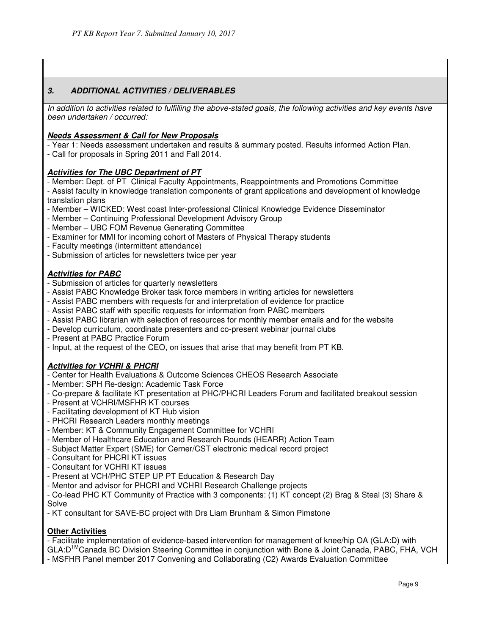# **3. ADDITIONAL ACTIVITIES / DELIVERABLES**

In addition to activities related to fulfilling the above-stated goals, the following activities and key events have been undertaken / occurred:

## **Needs Assessment & Call for New Proposals**

- Year 1: Needs assessment undertaken and results & summary posted. Results informed Action Plan.
- Call for proposals in Spring 2011 and Fall 2014.

## **Activities for The UBC Department of PT**

- Member: Dept. of PT Clinical Faculty Appointments, Reappointments and Promotions Committee
- Assist faculty in knowledge translation components of grant applications and development of knowledge translation plans
- Member WICKED: West coast Inter-professional Clinical Knowledge Evidence Disseminator
- Member Continuing Professional Development Advisory Group
- Member UBC FOM Revenue Generating Committee
- Examiner for MMI for incoming cohort of Masters of Physical Therapy students
- Faculty meetings (intermittent attendance)
- Submission of articles for newsletters twice per year

## **Activities for PABC**

- Submission of articles for quarterly newsletters
- Assist PABC Knowledge Broker task force members in writing articles for newsletters
- Assist PABC members with requests for and interpretation of evidence for practice
- Assist PABC staff with specific requests for information from PABC members
- Assist PABC librarian with selection of resources for monthly member emails and for the website
- Develop curriculum, coordinate presenters and co-present webinar journal clubs
- Present at PABC Practice Forum
- Input, at the request of the CEO, on issues that arise that may benefit from PT KB.

# **Activities for VCHRI & PHCRI**

- Center for Health Evaluations & Outcome Sciences CHEOS Research Associate
- Member: SPH Re-design: Academic Task Force
- Co-prepare & facilitate KT presentation at PHC/PHCRI Leaders Forum and facilitated breakout session
- Present at VCHRI/MSFHR KT courses
- Facilitating development of KT Hub vision
- PHCRI Research Leaders monthly meetings
- Member: KT & Community Engagement Committee for VCHRI
- Member of Healthcare Education and Research Rounds (HEARR) Action Team
- Subject Matter Expert (SME) for Cerner/CST electronic medical record project
- Consultant for PHCRI KT issues
- Consultant for VCHRI KT issues
- Present at VCH/PHC STEP UP PT Education & Research Day
- Mentor and advisor for PHCRI and VCHRI Research Challenge projects

- Co-lead PHC KT Community of Practice with 3 components: (1) KT concept (2) Brag & Steal (3) Share & Solve

- KT consultant for SAVE-BC project with Drs Liam Brunham & Simon Pimstone

## **Other Activities**

- Facilitate implementation of evidence-based intervention for management of knee/hip OA (GLA:D) with GLA:DTMCanada BC Division Steering Committee in conjunction with Bone & Joint Canada, PABC, FHA, VCH - MSFHR Panel member 2017 Convening and Collaborating (C2) Awards Evaluation Committee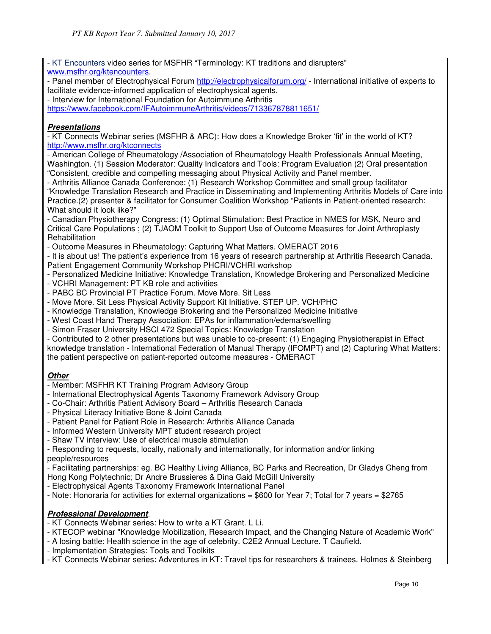- KT Encounters video series for MSFHR "Terminology: KT traditions and disrupters" www.msfhr.org/ktencounters.

- Panel member of Electrophysical Forum http://electrophysicalforum.org/ - International initiative of experts to facilitate evidence-informed application of electrophysical agents.

- Interview for International Foundation for Autoimmune Arthritis

https://www.facebook.com/IFAutoimmuneArthritis/videos/713367878811651/

# **Presentations**

- KT Connects Webinar series (MSFHR & ARC): How does a Knowledge Broker 'fit' in the world of KT? http://www.msfhr.org/ktconnects

- American College of Rheumatology /Association of Rheumatology Health Professionals Annual Meeting, Washington. (1) Session Moderator: Quality Indicators and Tools: Program Evaluation (2) Oral presentation "Consistent, credible and compelling messaging about Physical Activity and Panel member.

- Arthritis Alliance Canada Conference: (1) Research Workshop Committee and small group facilitator "Knowledge Translation Research and Practice in Disseminating and Implementing Arthritis Models of Care into Practice.(2) presenter & facilitator for Consumer Coalition Workshop "Patients in Patient-oriented research: What should it look like?"

- Canadian Physiotherapy Congress: (1) Optimal Stimulation: Best Practice in NMES for MSK, Neuro and Critical Care Populations ; (2) TJAOM Toolkit to Support Use of Outcome Measures for Joint Arthroplasty **Rehabilitation** 

- Outcome Measures in Rheumatology: Capturing What Matters. OMERACT 2016

- It is about us! The patient's experience from 16 years of research partnership at Arthritis Research Canada. Patient Engagement Community Workshop PHCRI/VCHRI workshop

- Personalized Medicine Initiative: Knowledge Translation, Knowledge Brokering and Personalized Medicine

- VCHRI Management: PT KB role and activities
- PABC BC Provincial PT Practice Forum. Move More. Sit Less
- Move More. Sit Less Physical Activity Support Kit Initiative. STEP UP. VCH/PHC
- Knowledge Translation, Knowledge Brokering and the Personalized Medicine Initiative
- West Coast Hand Therapy Association: EPAs for inflammation/edema/swelling
- Simon Fraser University HSCI 472 Special Topics: Knowledge Translation

- Contributed to 2 other presentations but was unable to co-present: (1) Engaging Physiotherapist in Effect knowledge translation - International Federation of Manual Therapy (IFOMPT) and (2) Capturing What Matters: the patient perspective on patient-reported outcome measures - OMERACT

# **Other**

- Member: MSFHR KT Training Program Advisory Group
- International Electrophysical Agents Taxonomy Framework Advisory Group
- Co-Chair: Arthritis Patient Advisory Board Arthritis Research Canada
- Physical Literacy Initiative Bone & Joint Canada
- Patient Panel for Patient Role in Research: Arthritis Alliance Canada
- Informed Western University MPT student research project
- Shaw TV interview: Use of electrical muscle stimulation

- Responding to requests, locally, nationally and internationally, for information and/or linking people/resources

- Facilitating partnerships: eg. BC Healthy Living Alliance, BC Parks and Recreation, Dr Gladys Cheng from
- Hong Kong Polytechnic; Dr Andre Brussieres & Dina Gaid McGill University
- Electrophysical Agents Taxonomy Framework International Panel
- Note: Honoraria for activities for external organizations = \$600 for Year 7; Total for 7 years = \$2765

## **Professional Development**.

- KT Connects Webinar series: How to write a KT Grant. L Li.
- KTECOP webinar "Knowledge Mobilization, Research Impact, and the Changing Nature of Academic Work"
- A losing battle: Health science in the age of celebrity. C2E2 Annual Lecture. T Caufield.
- Implementation Strategies: Tools and Toolkits
- KT Connects Webinar series: Adventures in KT: Travel tips for researchers & trainees. Holmes & Steinberg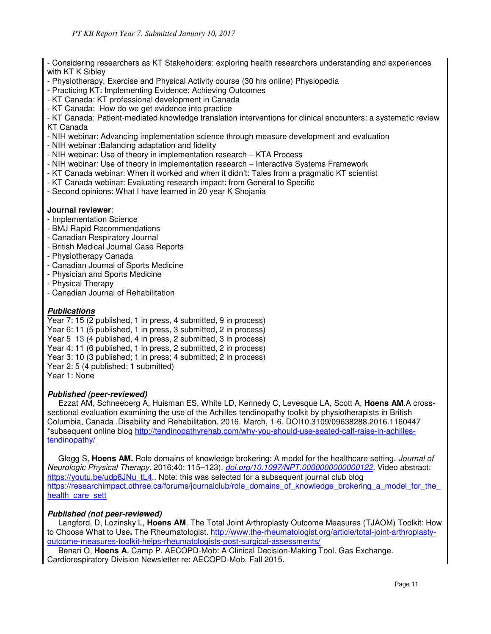- Considering researchers as KT Stakeholders: exploring health researchers understanding and experiences with KT K Sibley

- Physiotherapy, Exercise and Physical Activity course (30 hrs online) Physiopedia

- Practicing KT: Implementing Evidence; Achieving Outcomes

- KT Canada: KT professional development in Canada
- KT Canada: How do we get evidence into practice

- KT Canada: Patient-mediated knowledge translation interventions for clinical encounters: a systematic review KT Canada

- NIH webinar: Advancing implementation science through measure development and evaluation
- NIH webinar :Balancing adaptation and fidelity
- NIH webinar: Use of theory in implementation research KTA Process
- NIH webinar: Use of theory in implementation research Interactive Systems Framework
- KT Canada webinar: When it worked and when it didn't: Tales from a pragmatic KT scientist
- KT Canada webinar: Evaluating research impact: from General to Specific
- Second opinions: What I have learned in 20 year K Shojania

## **Journal reviewer**:

- Implementation Science
- BMJ Rapid Recommendations
- Canadian Respiratory Journal
- British Medical Journal Case Reports
- Physiotherapy Canada
- Canadian Journal of Sports Medicine
- Physician and Sports Medicine
- Physical Therapy
- Canadian Journal of Rehabilitation

## **Publications**

Year 7: 15 (2 published, 1 in press, 4 submitted, 9 in process) Year 6: 11 (5 published, 1 in press, 3 submitted, 2 in process) Year 5 13 (4 published, 4 in press, 2 submitted, 3 in process) Year 4: 11 (6 published, 1 in press, 2 submitted, 2 in process) Year 3: 10 (3 published; 1 in press; 4 submitted; 2 in process) Year 2: 5 (4 published; 1 submitted) Year 1: None

## **Published (peer-reviewed)**

 Ezzat AM, Schneeberg A, Huisman ES, White LD, Kennedy C, Levesque LA, Scott A, **Hoens AM**.A crosssectional evaluation examining the use of the Achilles tendinopathy toolkit by physiotherapists in British Columbia, Canada .Disability and Rehabilitation. 2016. March, 1-6. DOI10.3109/09638288.2016.1160447 \*subsequent online blog http://tendinopathyrehab.com/why-you-should-use-seated-calf-raise-in-achillestendinopathy/

 Glegg S, **Hoens AM.** Role domains of knowledge brokering: A model for the healthcare setting. Journal of Neurologic Physical Therapy. 2016;40: 115–123). doi.org/10.1097/NPT.0000000000000122. Video abstract: https://youtu.be/udp8JNu\_tL4.. Note: this was selected for a subsequent journal club blog https://researchimpact.othree.ca/forums/journalclub/role\_domains\_of\_knowledge\_brokering\_a\_model\_for\_the health care sett

## **Published (not peer-reviewed)**

 Langford, D, Lozinsky L, **Hoens AM**. The Total Joint Arthroplasty Outcome Measures (TJAOM) Toolkit: How to Choose What to Use**.** The Rheumatologist. http://www.the-rheumatologist.org/article/total-joint-arthroplastyoutcome-measures-toolkit-helps-rheumatologists-post-surgical-assessments/

 Benari O, **Hoens A**, Camp P. AECOPD-Mob: A Clinical Decision-Making Tool. Gas Exchange. Cardiorespiratory Division Newsletter re: AECOPD-Mob. Fall 2015.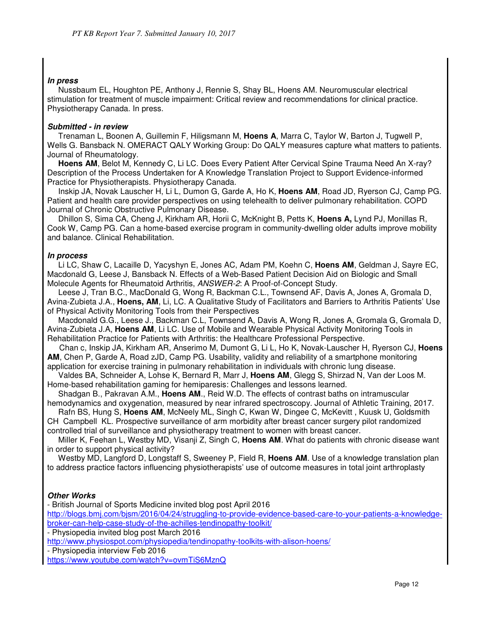## **In press**

 Nussbaum EL, Houghton PE, Anthony J, Rennie S, Shay BL, Hoens AM. Neuromuscular electrical stimulation for treatment of muscle impairment: Critical review and recommendations for clinical practice. Physiotherapy Canada. In press.

## **Submitted - in review**

 Trenaman L, Boonen A, Guillemin F, Hiligsmann M, **Hoens A**, Marra C, Taylor W, Barton J, Tugwell P, Wells G. Bansback N. OMERACT QALY Working Group: Do QALY measures capture what matters to patients. Journal of Rheumatology.

 **Hoens AM**, Belot M, Kennedy C, Li LC. Does Every Patient After Cervical Spine Trauma Need An X-ray? Description of the Process Undertaken for A Knowledge Translation Project to Support Evidence-informed Practice for Physiotherapists. Physiotherapy Canada.

 Inskip JA, Novak Lauscher H, Li L, Dumon G, Garde A, Ho K, **Hoens AM**, Road JD, Ryerson CJ, Camp PG. Patient and health care provider perspectives on using telehealth to deliver pulmonary rehabilitation. COPD Journal of Chronic Obstructive Pulmonary Disease.

 Dhillon S, Sima CA, Cheng J, Kirkham AR, Horii C, McKnight B, Petts K, **Hoens A,** Lynd PJ, Monillas R, Cook W, Camp PG. Can a home-based exercise program in community-dwelling older adults improve mobility and balance. Clinical Rehabilitation.

## **In process**

 Li LC, Shaw C, Lacaille D, Yacyshyn E, Jones AC, Adam PM, Koehn C, **Hoens AM**, Geldman J, Sayre EC, Macdonald G, Leese J, Bansback N. Effects of a Web-Based Patient Decision Aid on Biologic and Small Molecule Agents for Rheumatoid Arthritis, ANSWER-2: A Proof-of-Concept Study.

 Leese J, Tran B.C., MacDonald G, Wong R, Backman C.L., Townsend AF, Davis A, Jones A, Gromala D, Avina-Zubieta J.A., **Hoens, AM**, Li, LC. A Qualitative Study of Facilitators and Barriers to Arthritis Patients' Use of Physical Activity Monitoring Tools from their Perspectives

 Macdonald G.G., Leese J., Backman C.L, Townsend A, Davis A, Wong R, Jones A, Gromala G, Gromala D, Avina-Zubieta J.A, **Hoens AM**, Li LC. Use of Mobile and Wearable Physical Activity Monitoring Tools in Rehabilitation Practice for Patients with Arthritis: the Healthcare Professional Perspective.

 Chan c, Inskip JA, Kirkham AR, Anserimo M, Dumont G, Li L, Ho K, Novak-Lauscher H, Ryerson CJ, **Hoens AM**, Chen P, Garde A, Road zJD, Camp PG. Usability, validity and reliability of a smartphone monitoring application for exercise training in pulmonary rehabilitation in individuals with chronic lung disease.

 Valdes BA, Schneider A, Lohse K, Bernard R, Marr J, **Hoens AM**, Glegg S, Shirzad N, Van der Loos M. Home-based rehabilitation gaming for hemiparesis: Challenges and lessons learned.

 Shadgan B., Pakravan A.M., **Hoens AM**., Reid W.D. The effects of contrast baths on intramuscular hemodynamics and oxygenation, measured by near infrared spectroscopy. Journal of Athletic Training, 2017.

 Rafn BS, Hung S, **Hoens AM**, McNeely ML, Singh C, Kwan W, Dingee C, McKevitt , Kuusk U, Goldsmith CH Campbell KL. Prospective surveillance of arm morbidity after breast cancer surgery pilot randomized controlled trial of surveillance and physiotherapy treatment to women with breast cancer.

 Miller K, Feehan L, Westby MD, Visanji Z, Singh C, **Hoens AM**. What do patients with chronic disease want in order to support physical activity?

Westby MD, Langford D, Longstaff S, Sweeney P, Field R, **Hoens AM**. Use of a knowledge translation plan to address practice factors influencing physiotherapists' use of outcome measures in total joint arthroplasty

## **Other Works**

- British Journal of Sports Medicine invited blog post April 2016

http://blogs.bmj.com/bjsm/2016/04/24/struggling-to-provide-evidence-based-care-to-your-patients-a-knowledgebroker-can-help-case-study-of-the-achilles-tendinopathy-toolkit/

- Physiopedia invited blog post March 2016

http://www.physiospot.com/physiopedia/tendinopathy-toolkits-with-alison-hoens/

- Physiopedia interview Feb 2016

https://www.youtube.com/watch?v=ovmTiS6MznQ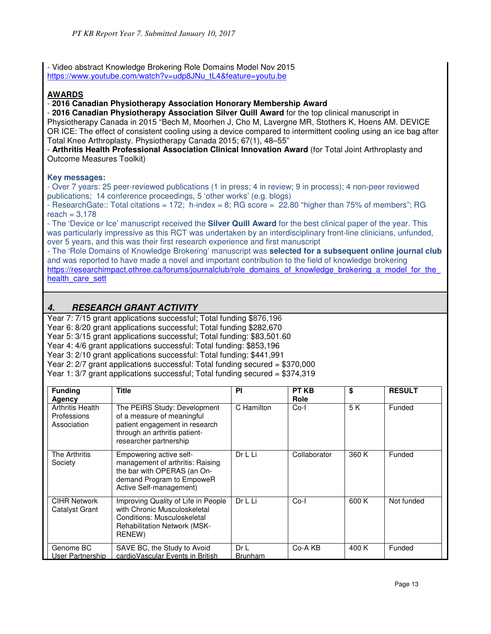- Video abstract Knowledge Brokering Role Domains Model Nov 2015 https://www.youtube.com/watch?v=udp8JNu\_tL4&feature=youtu.be

## **AWARDS**

- **2016 Canadian Physiotherapy Association Honorary Membership Award**

- **2016 Canadian Physiotherapy Association Silver Quill Award** for the top clinical manuscript in Physiotherapy Canada in 2015 "Bech M, Moorhen J, Cho M, Lavergne MR, Stothers K, Hoens AM. DEVICE OR ICE: The effect of consistent cooling using a device compared to intermittent cooling using an ice bag after Total Knee Arthroplasty. Physiotherapy Canada 2015; 67(1), 48–55"

- **Arthritis Health Professional Association Clinical Innovation Award** (for Total Joint Arthroplasty and Outcome Measures Toolkit)

## **Key messages:**

- Over 7 years: 25 peer-reviewed publications (1 in press; 4 in review; 9 in process); 4 non-peer reviewed publications; 14 conference proceedings, 5 'other works' (e.g. blogs)

- ResearchGate:: Total citations = 172; h-index = 8; RG score = 22.80 "higher than 75% of members"; RG reach  $= 3.178$ 

- The 'Device or Ice' manuscript received the **Silver Quill Award** for the best clinical paper of the year. This was particularly impressive as this RCT was undertaken by an interdisciplinary front-line clinicians, unfunded, over 5 years, and this was their first research experience and first manuscript

- The 'Role Domains of Knowledge Brokering' manuscript was **selected for a subsequent online journal club** and was reported to have made a novel and important contribution to the field of knowledge brokering https://researchimpact.othree.ca/forums/journalclub/role\_domains\_of\_knowledge\_brokering\_a\_model\_for\_the health care sett

# **4. RESEARCH GRANT ACTIVITY**

Year 7: 7/15 grant applications successful; Total funding \$876,196

Year 6: 8/20 grant applications successful; Total funding \$282,670

Year 5: 3/15 grant applications successful; Total funding: \$83,501.60

Year 4: 4/6 grant applications successful: Total funding: \$853,196

Year 3: 2/10 grant applications successful: Total funding: \$441,991

Year 2: 2/7 grant applications successful: Total funding secured = \$370,000

Year 1: 3/7 grant applications successful; Total funding secured = \$374,319

| <b>Funding</b><br>Agency                              | <b>Title</b>                                                                                                                                            | ΡI                    | <b>PT KB</b><br>Role | \$    | <b>RESULT</b> |
|-------------------------------------------------------|---------------------------------------------------------------------------------------------------------------------------------------------------------|-----------------------|----------------------|-------|---------------|
| <b>Arthritis Health</b><br>Professions<br>Association | The PEIRS Study: Development<br>of a measure of meaningful<br>patient engagement in research<br>through an arthritis patient-<br>researcher partnership | C Hamilton            | $Co-I$               | 5 K   | Funded        |
| The Arthritis<br>Society                              | Empowering active self-<br>management of arthritis: Raising<br>the bar with OPERAS (an On-<br>demand Program to EmpoweR<br>Active Self-management)      | Dr L Li               | Collaborator         | 360 K | Funded        |
| <b>CIHR Network</b><br>Catalyst Grant                 | Improving Quality of Life in People<br>with Chronic Musculoskeletal<br>Conditions: Musculoskeletal<br><b>Rehabilitation Network (MSK-</b><br>RENEW)     | Dr L Li               | $Co-I$               | 600 K | Not funded    |
| Genome BC<br>User Partnership                         | SAVE BC, the Study to Avoid<br>cardio Vascular Events in British                                                                                        | DrL<br><b>Brunham</b> | Co-A KB              | 400 K | Funded        |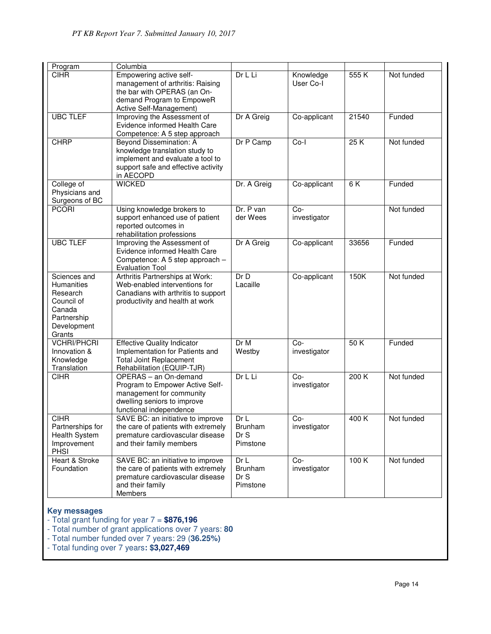| Program                                                                                                       | Columbia                                                                                                                                           |                                                       |                        |                   |            |
|---------------------------------------------------------------------------------------------------------------|----------------------------------------------------------------------------------------------------------------------------------------------------|-------------------------------------------------------|------------------------|-------------------|------------|
| <b>CIHR</b>                                                                                                   | Empowering active self-<br>management of arthritis: Raising<br>the bar with OPERAS (an On-<br>demand Program to EmpoweR<br>Active Self-Management) | Dr L Li                                               | Knowledge<br>User Co-I | $\overline{5}55K$ | Not funded |
| <b>UBC TLEF</b>                                                                                               | Improving the Assessment of<br>Evidence informed Health Care<br>Competence: A 5 step approach                                                      | Dr A Greig                                            | Co-applicant           | 21540             | Funded     |
| <b>CHRP</b>                                                                                                   | Beyond Dissemination: A<br>knowledge translation study to<br>implement and evaluate a tool to<br>support safe and effective activity<br>in AECOPD  | Dr P Camp                                             | Co-l                   | 25K               | Not funded |
| College of<br>Physicians and<br>Surgeons of BC                                                                | <b>WICKED</b>                                                                                                                                      | Dr. A Greig                                           | Co-applicant           | 6 K               | Funded     |
| <b>PCORI</b>                                                                                                  | Using knowledge brokers to<br>support enhanced use of patient<br>reported outcomes in<br>rehabilitation professions                                | Dr. P van<br>der Wees                                 | $Co-$<br>investigator  |                   | Not funded |
| <b>UBC TLEF</b>                                                                                               | Improving the Assessment of<br>Evidence informed Health Care<br>Competence: A 5 step approach -<br><b>Evaluation Tool</b>                          | Dr A Greig                                            | Co-applicant           | 33656             | Funded     |
| Sciences and<br><b>Humanities</b><br>Research<br>Council of<br>Canada<br>Partnership<br>Development<br>Grants | Arthritis Partnerships at Work:<br>Web-enabled interventions for<br>Canadians with arthritis to support<br>productivity and health at work         | Dr D<br>Lacaille                                      | Co-applicant           | 150K              | Not funded |
| <b>VCHRI/PHCRI</b><br>Innovation &<br>Knowledge<br>Translation                                                | <b>Effective Quality Indicator</b><br>Implementation for Patients and<br><b>Total Joint Replacement</b><br>Rehabilitation (EQUIP-TJR)              | Dr M<br>Westby                                        | $Co-$<br>investigator  | 50K               | Funded     |
| <b>CIHR</b>                                                                                                   | OPERAS - an On-demand<br>Program to Empower Active Self-<br>management for community<br>dwelling seniors to improve<br>functional independence     | Dr L Li                                               | $Co-$<br>investigator  | 200K              | Not funded |
| <b>CIHR</b><br>Partnerships for<br>Health System<br>Improvement<br>PHSI                                       | SAVE BC: an initiative to improve<br>the care of patients with extremely<br>premature cardiovascular disease<br>and their family members           | Dr <sub>l</sub><br><b>Brunham</b><br>Dr S<br>Pimstone | Co-<br>investigator    | 400K              | Not funded |
| Heart & Stroke<br>Foundation                                                                                  | SAVE BC: an initiative to improve<br>the care of patients with extremely<br>premature cardiovascular disease<br>and their family<br>Members        | Dr L<br>Brunham<br>Dr S<br>Pimstone                   | $Co-$<br>investigator  | 100K              | Not funded |

# **Key messages**

- Total grant funding for year 7 = **\$876,196**
- Total number of grant applications over 7 years: **80**
- Total number funded over 7 years: 29 (**36.25%)**
- Total funding over 7 years**: \$3,027,469**